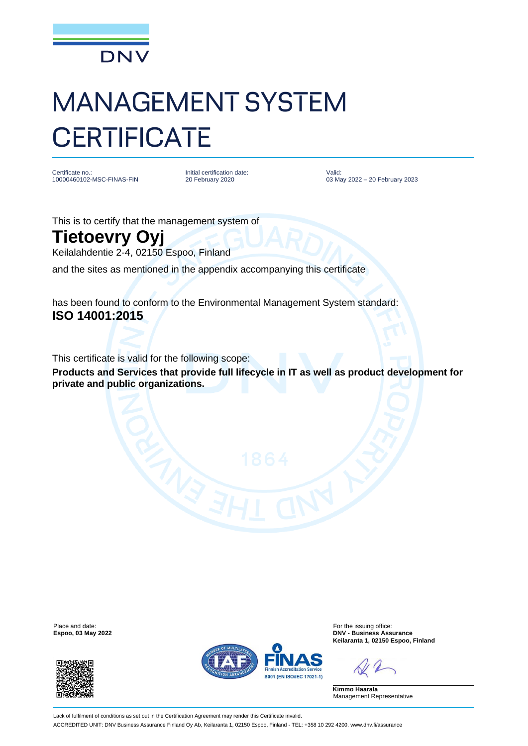

## MANAGEMENT SYSTEM **CERTIFICATE**

Certificate no. 10000460102-MSC-FINAS-FIN Initial certification date: 20 February 2020

Valid: 03 May 2022 – 20 February 2023

This is to certify that the management system of

## **Tietoevry Oyj**

Keilalahdentie 2-4, 02150 Espoo, Finland

and the sites as mentioned in the appendix accompanying this certificate

has been found to conform to the Environmental Management System standard: **ISO 14001:2015**

This certificate is valid for the following scope:

**Products and Services that provide full lifecycle in IT as well as product development for private and public organizations.**

Place and date: For the issuing office:<br>
For the issuing office: Espoo, 03 May 2022<br>
PNV - Business Ass





**Espoo, 03 May 2022 DNV - Business Assurance Keilaranta 1, 02150 Espoo, Finland**

**Kimmo Haarala** Management Representative

Lack of fulfilment of conditions as set out in the Certification Agreement may render this Certificate invalid. ACCREDITED UNIT: DNV Business Assurance Finland Oy Ab, Keilaranta 1, 02150 Espoo, Finland - TEL: +358 10 292 4200. www.dnv.fi/assurance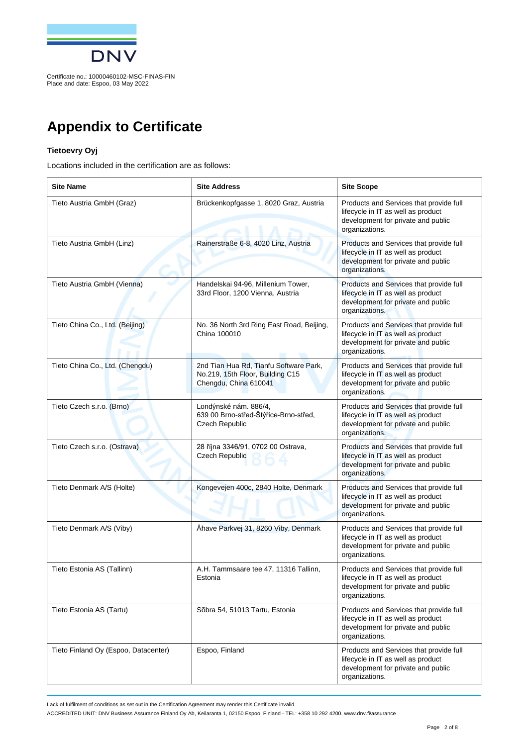

Place and date: Espoo, 03 May 2022

## **Appendix to Certificate**

## **Tietoevry Oyj**

Locations included in the certification are as follows:

| <b>Site Name</b>                     | <b>Site Address</b>                                                                                 | <b>Site Scope</b>                                                                                                                     |
|--------------------------------------|-----------------------------------------------------------------------------------------------------|---------------------------------------------------------------------------------------------------------------------------------------|
| Tieto Austria GmbH (Graz)            | Brückenkopfgasse 1, 8020 Graz, Austria                                                              | Products and Services that provide full<br>lifecycle in IT as well as product<br>development for private and public<br>organizations. |
| Tieto Austria GmbH (Linz)            | Rainerstraße 6-8, 4020 Linz, Austria                                                                | Products and Services that provide full<br>lifecycle in IT as well as product<br>development for private and public<br>organizations. |
| Tieto Austria GmbH (Vienna)          | Handelskai 94-96, Millenium Tower,<br>33rd Floor, 1200 Vienna, Austria                              | Products and Services that provide full<br>lifecycle in IT as well as product<br>development for private and public<br>organizations. |
| Tieto China Co., Ltd. (Beijing)      | No. 36 North 3rd Ring East Road, Beijing,<br>China 100010                                           | Products and Services that provide full<br>lifecycle in IT as well as product<br>development for private and public<br>organizations. |
| Tieto China Co., Ltd. (Chengdu)      | 2nd Tian Hua Rd, Tianfu Software Park,<br>No.219, 15th Floor, Building C15<br>Chengdu, China 610041 | Products and Services that provide full<br>lifecycle in IT as well as product<br>development for private and public<br>organizations. |
| Tieto Czech s.r.o. (Brno)            | Londýnské nám. 886/4,<br>639 00 Brno-střed-Štýřice-Brno-střed,<br>Czech Republic                    | Products and Services that provide full<br>lifecycle in IT as well as product<br>development for private and public<br>organizations. |
| Tieto Czech s.r.o. (Ostrava)         | 28 října 3346/91, 0702 00 Ostrava,<br>Czech Republic                                                | Products and Services that provide full<br>lifecycle in IT as well as product<br>development for private and public<br>organizations. |
| Tieto Denmark A/S (Holte)            | Kongevejen 400c, 2840 Holte, Denmark                                                                | Products and Services that provide full<br>lifecycle in IT as well as product<br>development for private and public<br>organizations. |
| Tieto Denmark A/S (Viby)             | Åhave Parkvej 31, 8260 Viby, Denmark                                                                | Products and Services that provide full<br>lifecycle in IT as well as product<br>development for private and public<br>organizations. |
| Tieto Estonia AS (Tallinn)           | A.H. Tammsaare tee 47, 11316 Tallinn,<br>Estonia                                                    | Products and Services that provide full<br>lifecycle in IT as well as product<br>development for private and public<br>organizations. |
| Tieto Estonia AS (Tartu)             | Sõbra 54, 51013 Tartu, Estonia                                                                      | Products and Services that provide full<br>lifecycle in IT as well as product<br>development for private and public<br>organizations. |
| Tieto Finland Oy (Espoo, Datacenter) | Espoo, Finland                                                                                      | Products and Services that provide full<br>lifecycle in IT as well as product<br>development for private and public<br>organizations. |

Lack of fulfilment of conditions as set out in the Certification Agreement may render this Certificate invalid.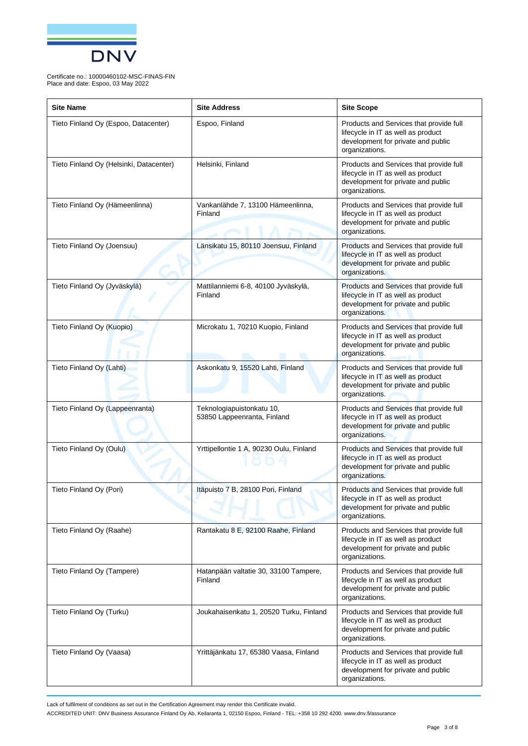

| <b>Site Name</b>                        | <b>Site Address</b>                                      | <b>Site Scope</b>                                                                                                                     |
|-----------------------------------------|----------------------------------------------------------|---------------------------------------------------------------------------------------------------------------------------------------|
| Tieto Finland Oy (Espoo, Datacenter)    | Espoo, Finland                                           | Products and Services that provide full<br>lifecycle in IT as well as product<br>development for private and public<br>organizations. |
| Tieto Finland Oy (Helsinki, Datacenter) | Helsinki, Finland                                        | Products and Services that provide full<br>lifecycle in IT as well as product<br>development for private and public<br>organizations. |
| Tieto Finland Oy (Hämeenlinna)          | Vankanlähde 7, 13100 Hämeenlinna,<br>Finland             | Products and Services that provide full<br>lifecycle in IT as well as product<br>development for private and public<br>organizations. |
| Tieto Finland Oy (Joensuu)              | Länsikatu 15, 80110 Joensuu, Finland                     | Products and Services that provide full<br>lifecycle in IT as well as product<br>development for private and public<br>organizations. |
| Tieto Finland Oy (Jyväskylä)            | Mattilanniemi 6-8, 40100 Jyväskylä,<br>Finland           | Products and Services that provide full<br>lifecycle in IT as well as product<br>development for private and public<br>organizations. |
| Tieto Finland Oy (Kuopio)               | Microkatu 1, 70210 Kuopio, Finland                       | Products and Services that provide full<br>lifecycle in IT as well as product<br>development for private and public<br>organizations. |
| Tieto Finland Oy (Lahti)                | Askonkatu 9, 15520 Lahti, Finland                        | Products and Services that provide full<br>lifecycle in IT as well as product<br>development for private and public<br>organizations. |
| Tieto Finland Oy (Lappeenranta)         | Teknologiapuistonkatu 10,<br>53850 Lappeenranta, Finland | Products and Services that provide full<br>lifecycle in IT as well as product<br>development for private and public<br>organizations. |
| Tieto Finland Oy (Oulu)                 | Yrttipellontie 1 A, 90230 Oulu, Finland                  | Products and Services that provide full<br>lifecycle in IT as well as product<br>development for private and public<br>organizations. |
| Tieto Finland Oy (Pori)                 | Itäpuisto 7 B, 28100 Pori, Finland                       | Products and Services that provide full<br>lifecycle in IT as well as product<br>development for private and public<br>organizations. |
| Tieto Finland Oy (Raahe)                | Rantakatu 8 E, 92100 Raahe, Finland                      | Products and Services that provide full<br>lifecycle in IT as well as product<br>development for private and public<br>organizations. |
| Tieto Finland Oy (Tampere)              | Hatanpään valtatie 30, 33100 Tampere,<br>Finland         | Products and Services that provide full<br>lifecycle in IT as well as product<br>development for private and public<br>organizations. |
| Tieto Finland Oy (Turku)                | Joukahaisenkatu 1, 20520 Turku, Finland                  | Products and Services that provide full<br>lifecycle in IT as well as product<br>development for private and public<br>organizations. |
| Tieto Finland Oy (Vaasa)                | Yrittäjänkatu 17, 65380 Vaasa, Finland                   | Products and Services that provide full<br>lifecycle in IT as well as product<br>development for private and public<br>organizations. |

Lack of fulfilment of conditions as set out in the Certification Agreement may render this Certificate invalid.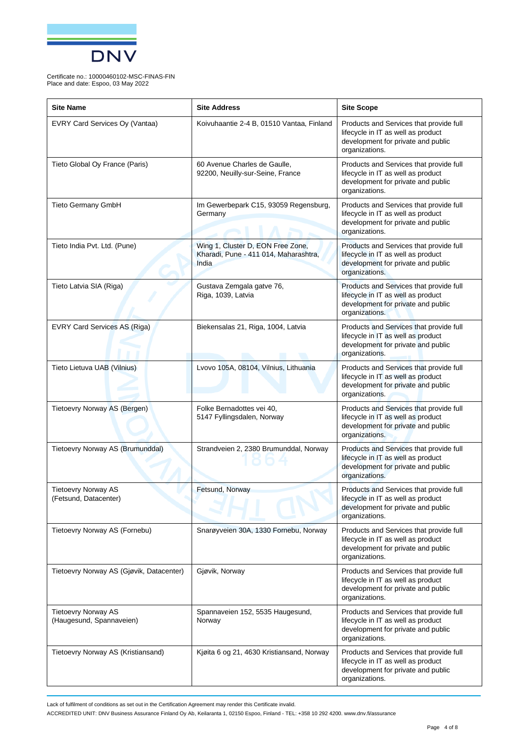

| <b>Site Name</b>                                       | <b>Site Address</b>                                                                 | <b>Site Scope</b>                                                                                                                     |
|--------------------------------------------------------|-------------------------------------------------------------------------------------|---------------------------------------------------------------------------------------------------------------------------------------|
| EVRY Card Services Oy (Vantaa)                         | Koivuhaantie 2-4 B, 01510 Vantaa, Finland                                           | Products and Services that provide full<br>lifecycle in IT as well as product<br>development for private and public<br>organizations. |
| Tieto Global Oy France (Paris)                         | 60 Avenue Charles de Gaulle,<br>92200, Neuilly-sur-Seine, France                    | Products and Services that provide full<br>lifecycle in IT as well as product<br>development for private and public<br>organizations. |
| Tieto Germany GmbH                                     | Im Gewerbepark C15, 93059 Regensburg,<br>Germany                                    | Products and Services that provide full<br>lifecycle in IT as well as product<br>development for private and public<br>organizations. |
| Tieto India Pvt. Ltd. (Pune)                           | Wing 1, Cluster D, EON Free Zone,<br>Kharadi, Pune - 411 014, Maharashtra,<br>India | Products and Services that provide full<br>lifecycle in IT as well as product<br>development for private and public<br>organizations. |
| Tieto Latvia SIA (Riga)                                | Gustava Zemgala gatve 76,<br>Riga, 1039, Latvia                                     | Products and Services that provide full<br>lifecycle in IT as well as product<br>development for private and public<br>organizations. |
| EVRY Card Services AS (Riga)                           | Biekensalas 21, Riga, 1004, Latvia                                                  | Products and Services that provide full<br>lifecycle in IT as well as product<br>development for private and public<br>organizations. |
| Tieto Lietuva UAB (Vilnius)                            | Lvovo 105A, 08104, Vilnius, Lithuania                                               | Products and Services that provide full<br>lifecycle in IT as well as product<br>development for private and public<br>organizations. |
| Tietoevry Norway AS (Bergen)                           | Folke Bernadottes vei 40,<br>5147 Fyllingsdalen, Norway                             | Products and Services that provide full<br>lifecycle in IT as well as product<br>development for private and public<br>organizations. |
| Tietoevry Norway AS (Brumunddal)                       | Strandveien 2, 2380 Brumunddal, Norway                                              | Products and Services that provide full<br>lifecycle in IT as well as product<br>development for private and public<br>organizations. |
| <b>Tietoevry Norway AS</b><br>(Fetsund, Datacenter)    | Fetsund, Norway                                                                     | Products and Services that provide full<br>lifecycle in IT as well as product<br>development for private and public<br>organizations. |
| Tietoevry Norway AS (Fornebu)                          | Snarøyveien 30A, 1330 Fornebu, Norway                                               | Products and Services that provide full<br>lifecycle in IT as well as product<br>development for private and public<br>organizations. |
| Tietoevry Norway AS (Gjøvik, Datacenter)               | Gjøvik, Norway                                                                      | Products and Services that provide full<br>lifecycle in IT as well as product<br>development for private and public<br>organizations. |
| <b>Tietoevry Norway AS</b><br>(Haugesund, Spannaveien) | Spannaveien 152, 5535 Haugesund,<br>Norway                                          | Products and Services that provide full<br>lifecycle in IT as well as product<br>development for private and public<br>organizations. |
| Tietoevry Norway AS (Kristiansand)                     | Kjøita 6 og 21, 4630 Kristiansand, Norway                                           | Products and Services that provide full<br>lifecycle in IT as well as product<br>development for private and public<br>organizations. |

Lack of fulfilment of conditions as set out in the Certification Agreement may render this Certificate invalid.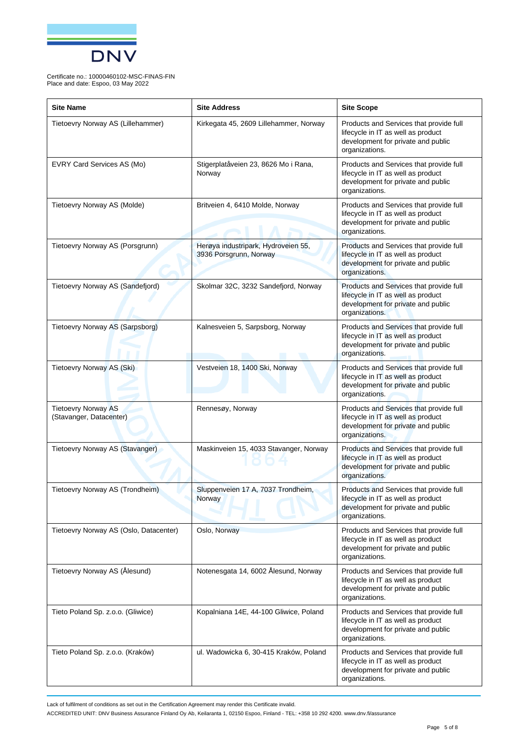

| <b>Site Name</b>                                      | <b>Site Address</b>                                           | <b>Site Scope</b>                                                                                                                     |
|-------------------------------------------------------|---------------------------------------------------------------|---------------------------------------------------------------------------------------------------------------------------------------|
| Tietoevry Norway AS (Lillehammer)                     | Kirkegata 45, 2609 Lillehammer, Norway                        | Products and Services that provide full<br>lifecycle in IT as well as product<br>development for private and public<br>organizations. |
| EVRY Card Services AS (Mo)                            | Stigerplatåveien 23, 8626 Mo i Rana,<br>Norway                | Products and Services that provide full<br>lifecycle in IT as well as product<br>development for private and public<br>organizations. |
| Tietoevry Norway AS (Molde)                           | Britveien 4, 6410 Molde, Norway                               | Products and Services that provide full<br>lifecycle in IT as well as product<br>development for private and public<br>organizations. |
| Tietoevry Norway AS (Porsgrunn)                       | Herøya industripark, Hydroveien 55,<br>3936 Porsgrunn, Norway | Products and Services that provide full<br>lifecycle in IT as well as product<br>development for private and public<br>organizations. |
| Tietoevry Norway AS (Sandefjord)                      | Skolmar 32C, 3232 Sandefjord, Norway                          | Products and Services that provide full<br>lifecycle in IT as well as product<br>development for private and public<br>organizations. |
| Tietoevry Norway AS (Sarpsborg)                       | Kalnesveien 5, Sarpsborg, Norway                              | Products and Services that provide full<br>lifecycle in IT as well as product<br>development for private and public<br>organizations. |
| Tietoevry Norway AS (Ski)                             | Vestveien 18, 1400 Ski, Norway                                | Products and Services that provide full<br>lifecycle in IT as well as product<br>development for private and public<br>organizations. |
| <b>Tietoevry Norway AS</b><br>(Stavanger, Datacenter) | Rennesøy, Norway                                              | Products and Services that provide full<br>lifecycle in IT as well as product<br>development for private and public<br>organizations. |
| Tietoevry Norway AS (Stavanger)                       | Maskinveien 15, 4033 Stavanger, Norway                        | Products and Services that provide full<br>lifecycle in IT as well as product<br>development for private and public<br>organizations. |
| Tietoevry Norway AS (Trondheim)                       | Sluppenveien 17 A, 7037 Trondheim,<br>Norway                  | Products and Services that provide full<br>lifecycle in IT as well as product<br>development for private and public<br>organizations. |
| Tietoevry Norway AS (Oslo, Datacenter)                | Oslo, Norway                                                  | Products and Services that provide full<br>lifecycle in IT as well as product<br>development for private and public<br>organizations. |
| Tietoevry Norway AS (Ålesund)                         | Notenesgata 14, 6002 Ålesund, Norway                          | Products and Services that provide full<br>lifecycle in IT as well as product<br>development for private and public<br>organizations. |
| Tieto Poland Sp. z.o.o. (Gliwice)                     | Kopalniana 14E, 44-100 Gliwice, Poland                        | Products and Services that provide full<br>lifecycle in IT as well as product<br>development for private and public<br>organizations. |
| Tieto Poland Sp. z.o.o. (Kraków)                      | ul. Wadowicka 6, 30-415 Kraków, Poland                        | Products and Services that provide full<br>lifecycle in IT as well as product<br>development for private and public<br>organizations. |

Lack of fulfilment of conditions as set out in the Certification Agreement may render this Certificate invalid.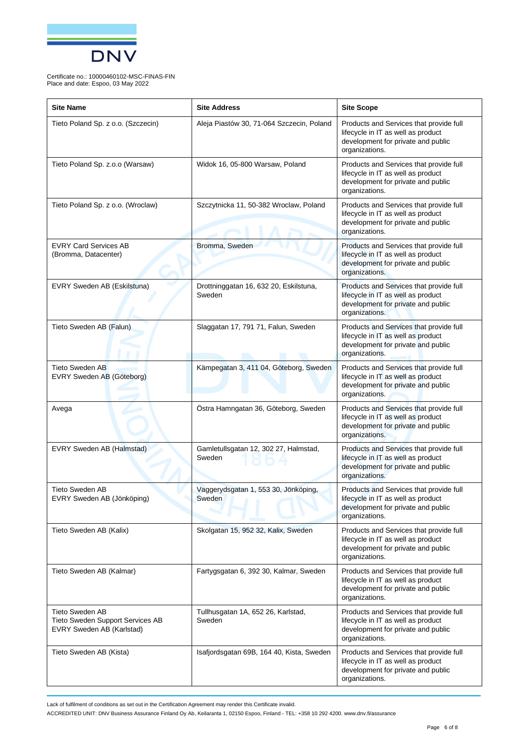

| <b>Site Name</b>                                                                        | <b>Site Address</b>                              | <b>Site Scope</b>                                                                                                                     |
|-----------------------------------------------------------------------------------------|--------------------------------------------------|---------------------------------------------------------------------------------------------------------------------------------------|
| Tieto Poland Sp. z o.o. (Szczecin)                                                      | Aleja Piastów 30, 71-064 Szczecin, Poland        | Products and Services that provide full<br>lifecycle in IT as well as product<br>development for private and public<br>organizations. |
| Tieto Poland Sp. z.o.o (Warsaw)                                                         | Widok 16, 05-800 Warsaw, Poland                  | Products and Services that provide full<br>lifecycle in IT as well as product<br>development for private and public<br>organizations. |
| Tieto Poland Sp. z o.o. (Wroclaw)                                                       | Szczytnicka 11, 50-382 Wroclaw, Poland           | Products and Services that provide full<br>lifecycle in IT as well as product<br>development for private and public<br>organizations. |
| <b>EVRY Card Services AB</b><br>(Bromma, Datacenter)                                    | Bromma, Sweden                                   | Products and Services that provide full<br>lifecycle in IT as well as product<br>development for private and public<br>organizations. |
| EVRY Sweden AB (Eskilstuna)                                                             | Drottninggatan 16, 632 20, Eskilstuna,<br>Sweden | Products and Services that provide full<br>lifecycle in IT as well as product<br>development for private and public<br>organizations. |
| Tieto Sweden AB (Falun)                                                                 | Slaggatan 17, 791 71, Falun, Sweden              | Products and Services that provide full<br>lifecycle in IT as well as product<br>development for private and public<br>organizations. |
| <b>Tieto Sweden AB</b><br>EVRY Sweden AB (Göteborg)                                     | Kämpegatan 3, 411 04, Göteborg, Sweden           | Products and Services that provide full<br>lifecycle in IT as well as product<br>development for private and public<br>organizations. |
| Avega                                                                                   | Östra Hamngatan 36, Göteborg, Sweden             | Products and Services that provide full<br>lifecycle in IT as well as product<br>development for private and public<br>organizations. |
| EVRY Sweden AB (Halmstad)                                                               | Gamletullsgatan 12, 302 27, Halmstad,<br>Sweden  | Products and Services that provide full<br>lifecycle in IT as well as product<br>development for private and public<br>organizations. |
| <b>Tieto Sweden AB</b><br>EVRY Sweden AB (Jönköping)                                    | Vaggerydsgatan 1, 553 30, Jönköping,<br>Sweden   | Products and Services that provide full<br>lifecycle in IT as well as product<br>development for private and public<br>organizations. |
| Tieto Sweden AB (Kalix)                                                                 | Skolgatan 15, 952 32, Kalix, Sweden              | Products and Services that provide full<br>lifecycle in IT as well as product<br>development for private and public<br>organizations. |
| Tieto Sweden AB (Kalmar)                                                                | Fartygsgatan 6, 392 30, Kalmar, Sweden           | Products and Services that provide full<br>lifecycle in IT as well as product<br>development for private and public<br>organizations. |
| <b>Tieto Sweden AB</b><br>Tieto Sweden Support Services AB<br>EVRY Sweden AB (Karlstad) | Tullhusgatan 1A, 652 26, Karlstad,<br>Sweden     | Products and Services that provide full<br>lifecycle in IT as well as product<br>development for private and public<br>organizations. |
| Tieto Sweden AB (Kista)                                                                 | Isafjordsgatan 69B, 164 40, Kista, Sweden        | Products and Services that provide full<br>lifecycle in IT as well as product<br>development for private and public<br>organizations. |

Lack of fulfilment of conditions as set out in the Certification Agreement may render this Certificate invalid.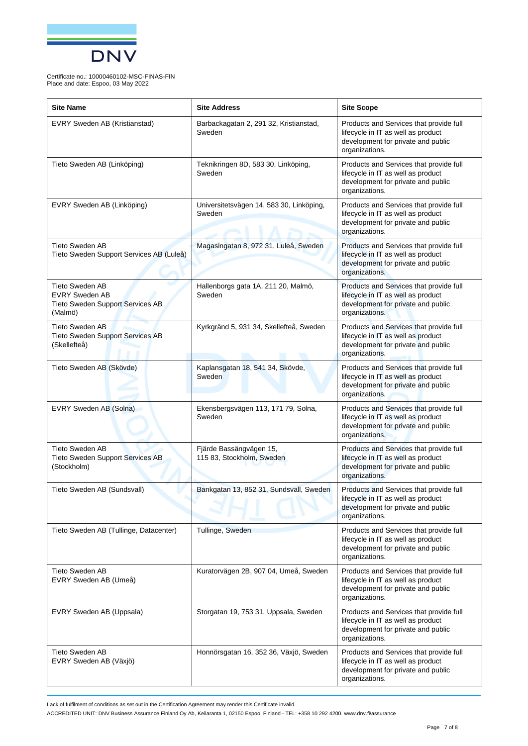

| <b>Site Name</b>                                                                               | <b>Site Address</b>                                  | <b>Site Scope</b>                                                                                                                     |
|------------------------------------------------------------------------------------------------|------------------------------------------------------|---------------------------------------------------------------------------------------------------------------------------------------|
| EVRY Sweden AB (Kristianstad)                                                                  | Barbackagatan 2, 291 32, Kristianstad,<br>Sweden     | Products and Services that provide full<br>lifecycle in IT as well as product<br>development for private and public<br>organizations. |
| Tieto Sweden AB (Linköping)                                                                    | Teknikringen 8D, 583 30, Linköping,<br>Sweden        | Products and Services that provide full<br>lifecycle in IT as well as product<br>development for private and public<br>organizations. |
| EVRY Sweden AB (Linköping)                                                                     | Universitetsvägen 14, 583 30, Linköping,<br>Sweden   | Products and Services that provide full<br>lifecycle in IT as well as product<br>development for private and public<br>organizations. |
| <b>Tieto Sweden AB</b><br>Tieto Sweden Support Services AB (Luleå)                             | Magasingatan 8, 972 31, Luleå, Sweden                | Products and Services that provide full<br>lifecycle in IT as well as product<br>development for private and public<br>organizations. |
| <b>Tieto Sweden AB</b><br><b>EVRY Sweden AB</b><br>Tieto Sweden Support Services AB<br>(Malmö) | Hallenborgs gata 1A, 211 20, Malmö,<br>Sweden        | Products and Services that provide full<br>lifecycle in IT as well as product<br>development for private and public<br>organizations. |
| <b>Tieto Sweden AB</b><br><b>Tieto Sweden Support Services AB</b><br>(Skellefteå)              | Kyrkgränd 5, 931 34, Skellefteå, Sweden              | Products and Services that provide full<br>lifecycle in IT as well as product<br>development for private and public<br>organizations. |
| Tieto Sweden AB (Skövde)                                                                       | Kaplansgatan 18, 541 34, Skövde,<br>Sweden           | Products and Services that provide full<br>lifecycle in IT as well as product<br>development for private and public<br>organizations. |
| EVRY Sweden AB (Solna)                                                                         | Ekensbergsvägen 113, 171 79, Solna,<br>Sweden        | Products and Services that provide full<br>lifecycle in IT as well as product<br>development for private and public<br>organizations. |
| <b>Tieto Sweden AB</b><br>Tieto Sweden Support Services AB<br>(Stockholm)                      | Fjärde Bassängvägen 15,<br>115 83, Stockholm, Sweden | Products and Services that provide full<br>lifecycle in IT as well as product<br>development for private and public<br>organizations. |
| Tieto Sweden AB (Sundsvall)                                                                    | Bankgatan 13, 852 31, Sundsvall, Sweden              | Products and Services that provide full<br>lifecycle in IT as well as product<br>development for private and public<br>organizations. |
| Tieto Sweden AB (Tullinge, Datacenter)                                                         | Tullinge, Sweden                                     | Products and Services that provide full<br>lifecycle in IT as well as product<br>development for private and public<br>organizations. |
| Tieto Sweden AB<br>EVRY Sweden AB (Umeå)                                                       | Kuratorvägen 2B, 907 04, Umeå, Sweden                | Products and Services that provide full<br>lifecycle in IT as well as product<br>development for private and public<br>organizations. |
| EVRY Sweden AB (Uppsala)                                                                       | Storgatan 19, 753 31, Uppsala, Sweden                | Products and Services that provide full<br>lifecycle in IT as well as product<br>development for private and public<br>organizations. |
| <b>Tieto Sweden AB</b><br>EVRY Sweden AB (Växjö)                                               | Honnörsgatan 16, 352 36, Växjö, Sweden               | Products and Services that provide full<br>lifecycle in IT as well as product<br>development for private and public<br>organizations. |

Lack of fulfilment of conditions as set out in the Certification Agreement may render this Certificate invalid.